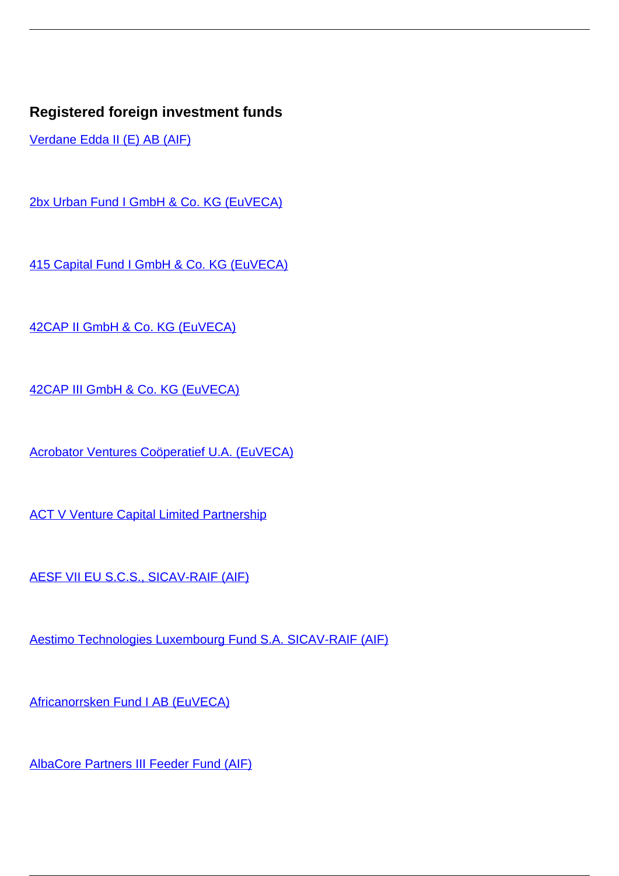## **Registered foreign investment funds**

[Verdane Edda II \(E\) AB \(AIF\)](/en/investment-market/investment-and-pension-funds-0/investment-market/registered-foreign-investment-funds/verdane-edda-ii-e-ab-aif)

[2bx Urban Fund I GmbH & Co. KG \(EuVECA\)](/en/investment-market/investment-and-pension-funds-0/investment-market/registered-foreign-investment-funds/2bx-urban-fund-i-gmbh-co-kg-euveca)

[415 Capital Fund I GmbH & Co. KG \(EuVECA\)](/en/investment-market/investment-and-pension-funds-0/investment-market/registered-foreign-investment-funds/415-capital-fund-i-gmbh-co-kg-euveca)

[42CAP II GmbH & Co. KG \(EuVECA\)](/en/investment-market/registered-foreign-investment-funds/42cap-ii-gmbh-co-kg-euveca)

[42CAP III GmbH & Co. KG \(EuVECA\)](/en/investment-market/investment-and-pension-funds-0/investment-market/registered-foreign-investment-funds/42cap-iii-gmbh-co-kg-euveca)

[Acrobator Ventures Coöperatief U.A. \(EuVECA\)](/en/investment-market/investment-and-pension-funds-0/investment-market/registered-foreign-investment-funds/acrobator-ventures-cooperatief-ua-euveca)

**[ACT V Venture Capital Limited Partnership](/en/investment-market/registered-foreign-investment-funds/act-v-venture-capital-limited-partnership)** 

[AESF VII EU S.C.S., SICAV-RAIF \(AIF\)](/en/investment-market/investment-and-pension-funds-0/investment-market/registered-foreign-investment-funds/aesf-vii-eu-scs-sicav-raif-aif)

[Aestimo Technologies Luxembourg Fund S.A. SICAV-RAIF \(AIF\)](/en/investment-market/registered-foreign-investment-funds/aestimo-technologies-luxembourg-fund-sa-sicav-raif-aif)

[Africanorrsken Fund I AB \(EuVECA\)](/en/investment-market/investment-and-pension-funds-0/investment-market/registered-foreign-investment-funds/africanorrsken-fund-i-ab-euveca)

[AlbaCore Partners III Feeder Fund \(AIF\)](/en/investment-market/investment-and-pension-funds-0/investment-market/registered-foreign-investment-funds/albacore-partners-iii-feeder-fund-aif)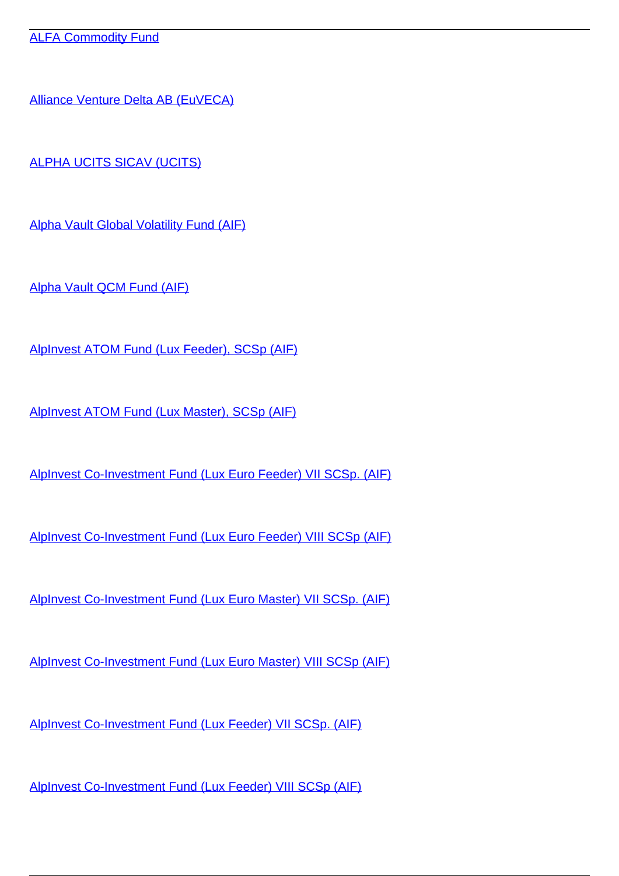[Alliance Venture Delta AB \(EuVECA\)](/en/investment-market/investment-and-pension-funds-0/investment-market/registered-foreign-investment-funds/alliance-venture-delta-ab-euveca)

[ALPHA UCITS SICAV \(UCITS\)](/en/investment-market/investment-and-pension-funds-0/investment-market/registered-foreign-investment-funds/alpha-ucits-sicav-ucits)

[Alpha Vault Global Volatility Fund \(AIF\)](/en/investment-market/registered-foreign-investment-funds/alpha-vault-global-volatility-fund-aif)

[Alpha Vault QCM Fund \(AIF\)](/en/investment-market/registered-foreign-investment-funds/alpha-vault-qcm-fund-aif)

[AlpInvest ATOM Fund \(Lux Feeder\), SCSp \(AIF\)](/en/investment-market/investment-and-pension-funds-0/investment-market/registered-foreign-investment-funds/alpinvest-atom-fund-lux-feeder-scsp-aif)

[AlpInvest ATOM Fund \(Lux Master\), SCSp \(AIF\)](/en/investment-market/investment-and-pension-funds-0/investment-market/registered-foreign-investment-funds/alpinvest-atom-fund-lux-master-scsp-aif)

[AlpInvest Co-Investment Fund \(Lux Euro Feeder\) VII SCSp. \(AIF\)](/en/investment-market/registered-foreign-investment-funds/alpinvest-co-investment-fund-lux-euro-feeder-vii-scsp-aif)

[AlpInvest Co-Investment Fund \(Lux Euro Feeder\) VIII SCSp \(AIF\)](/en/investment-market/investment-and-pension-funds-0/investment-market/registered-foreign-investment-funds/alpinvest-co-investment-fund-lux-euro-feeder-viii-scsp-aif)

[AlpInvest Co-Investment Fund \(Lux Euro Master\) VII SCSp. \(AIF\)](/en/investment-market/registered-foreign-investment-funds/alpinvest-co-investment-fund-lux-euro-master-vii-scsp-aif)

[AlpInvest Co-Investment Fund \(Lux Euro Master\) VIII SCSp \(AIF\)](/en/investment-market/investment-and-pension-funds-0/investment-market/registered-foreign-investment-funds/alpinvest-co-investment-fund-lux-euro-master-viii-scsp-aif)

[AlpInvest Co-Investment Fund \(Lux Feeder\) VII SCSp. \(AIF\)](/en/investment-market/registered-foreign-investment-funds/alpinvest-co-investment-fund-lux-feeder-vii-scsp-aif)

[AlpInvest Co-Investment Fund \(Lux Feeder\) VIII SCSp \(AIF\)](/en/investment-market/investment-and-pension-funds-0/investment-market/registered-foreign-investment-funds/alpinvest-co-investment-fund-lux-feeder-viii-scsp-aif)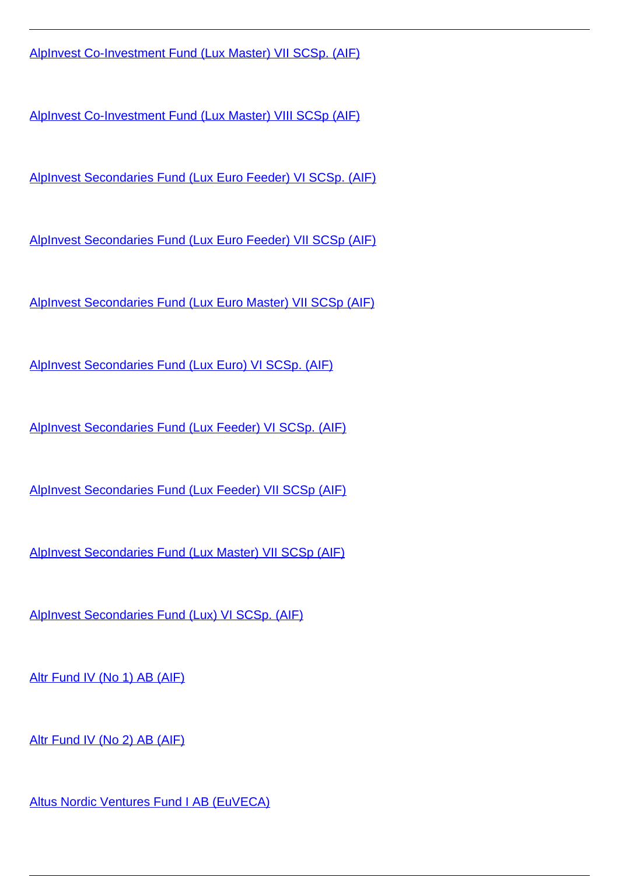[AlpInvest Co-Investment Fund \(Lux Master\) VII SCSp. \(AIF\)](/en/investment-market/registered-foreign-investment-funds/alpinvest-co-investment-fund-lux-master-vii-scsp-aif)

[AlpInvest Co-Investment Fund \(Lux Master\) VIII SCSp \(AIF\)](/en/investment-market/investment-and-pension-funds-0/investment-market/registered-foreign-investment-funds/alpinvest-co-investment-fund-lux-master-viii-scsp-aif)

[AlpInvest Secondaries Fund \(Lux Euro Feeder\) VI SCSp. \(AIF\)](/en/investment-market/registered-foreign-investment-funds/alpinvest-secondaries-fund-lux-euro-feeder-vi-scsp-aif)

[AlpInvest Secondaries Fund \(Lux Euro Feeder\) VII SCSp \(AIF\)](/en/investment-market/investment-and-pension-funds-0/investment-market/registered-foreign-investment-funds/alpinvest-secondaries-fund-lux-euro-feeder-vii-scsp-aif)

[AlpInvest Secondaries Fund \(Lux Euro Master\) VII SCSp \(AIF\)](/en/investment-market/investment-and-pension-funds-0/investment-market/registered-foreign-investment-funds/alpinvest-secondaries-fund-lux-euro-master-vii-scsp-aif)

[AlpInvest Secondaries Fund \(Lux Euro\) VI SCSp. \(AIF\)](/en/investment-market/registered-foreign-investment-funds/alpinvest-secondaries-fund-lux-euro-vi-scsp-aif)

[AlpInvest Secondaries Fund \(Lux Feeder\) VI SCSp. \(AIF\)](/en/investment-market/registered-foreign-investment-funds/alpinvest-secondaries-fund-lux-feeder-vi-scsp-aif)

[AlpInvest Secondaries Fund \(Lux Feeder\) VII SCSp \(AIF\)](/en/investment-market/investment-and-pension-funds-0/investment-market/registered-foreign-investment-funds/alpinvest-secondaries-fund-lux-feeder-vii-scsp-aif)

[AlpInvest Secondaries Fund \(Lux Master\) VII SCSp \(AIF\)](/en/investment-market/investment-and-pension-funds-0/investment-market/registered-foreign-investment-funds/alpinvest-secondaries-fund-lux-master-vii-scsp-aif)

[AlpInvest Secondaries Fund \(Lux\) VI SCSp. \(AIF\)](/en/investment-market/registered-foreign-investment-funds/alpinvest-secondaries-fund-lux-vi-scsp-aif)

[Altr Fund IV \(No 1\) AB \(AIF\)](/en/investment-market/registered-foreign-investment-funds/altr-fund-iv-no-1-ab-aif)

[Altr Fund IV \(No 2\) AB \(AIF\)](/en/investment-market/registered-foreign-investment-funds/altr-fund-iv-no-2-ab-aif)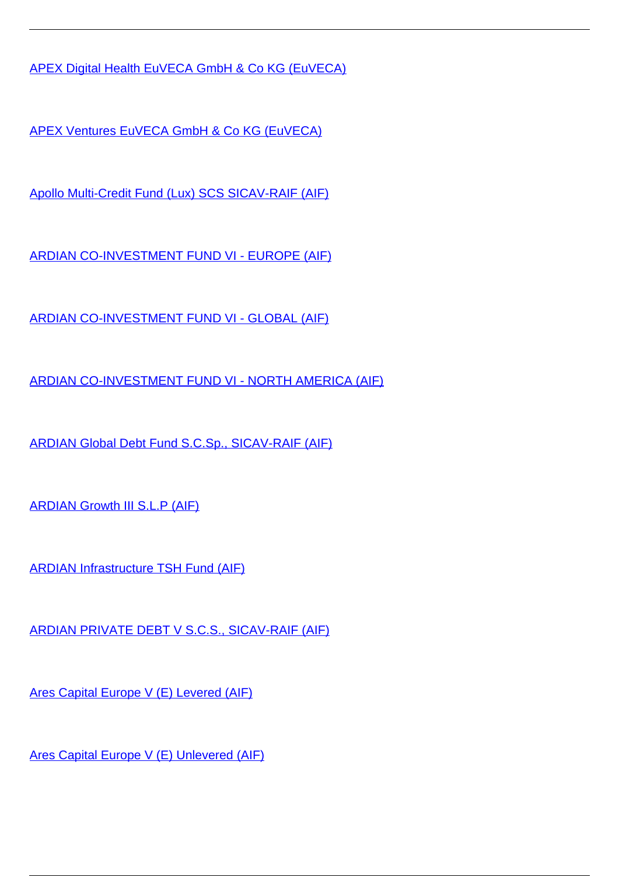[APEX Digital Health EuVECA GmbH & Co KG \(EuVECA\)](/en/investment-market/investment-and-pension-funds-0/investment-market/registered-foreign-investment-funds/apex-digital-health-euveca-gmbh-co-kg-euveca)

[APEX Ventures EuVECA GmbH & Co KG \(EuVECA\)](/en/investment-market/registered-foreign-investment-funds/apex-ventures-euveca-gmbh-co-kg-euveca)

[Apollo Multi-Credit Fund \(Lux\) SCS SICAV-RAIF \(AIF\)](/en/investment-market/registered-foreign-investment-funds/apollo-multi-credit-fund-lux-scs-sicav-raif-aif)

[ARDIAN CO-INVESTMENT FUND VI - EUROPE \(AIF\)](/en/investment-market/investment-and-pension-funds-0/investment-market/registered-foreign-investment-funds/ardian-co-investment-fund-vi-europe-aif)

[ARDIAN CO-INVESTMENT FUND VI - GLOBAL \(AIF\)](/en/investment-market/investment-and-pension-funds-0/investment-market/registered-foreign-investment-funds/ardian-co-investment-fund-vi-global-aif)

[ARDIAN CO-INVESTMENT FUND VI - NORTH AMERICA \(AIF\)](/en/investment-market/investment-and-pension-funds-0/investment-market/registered-foreign-investment-funds/ardian-co-investment-fund-vi-north-america-aif)

[ARDIAN Global Debt Fund S.C.Sp., SICAV-RAIF \(AIF\)](/en/investment-market/registered-foreign-investment-funds/ardian-global-debt-fund-scsp-sicav-raif-aif)

**[ARDIAN Growth III S.L.P \(AIF\)](/en/investment-market/investment-and-pension-funds-0/investment-market/registered-foreign-investment-funds/ardian-growth-iii-slp-aif)** 

[ARDIAN Infrastructure TSH Fund \(AIF\)](/en/investment-market/investment-and-pension-funds-0/investment-market/registered-foreign-investment-funds/ardian-infrastructure-tsh-fund-aif)

[ARDIAN PRIVATE DEBT V S.C.S., SICAV-RAIF \(AIF\)](/en/investment-market/investment-and-pension-funds-0/investment-market/registered-foreign-investment-funds/ardian-private-debt-v-scs-sicav-raif-aif)

[Ares Capital Europe V \(E\) Levered \(AIF\)](/en/investment-market/investment-and-pension-funds-0/investment-market/registered-foreign-investment-funds/ares-capital-europe-v-e-levered-aif)

[Ares Capital Europe V \(E\) Unlevered \(AIF\)](/en/investment-market/investment-and-pension-funds-0/investment-market/registered-foreign-investment-funds/ares-capital-europe-v-e-unlevered-aif)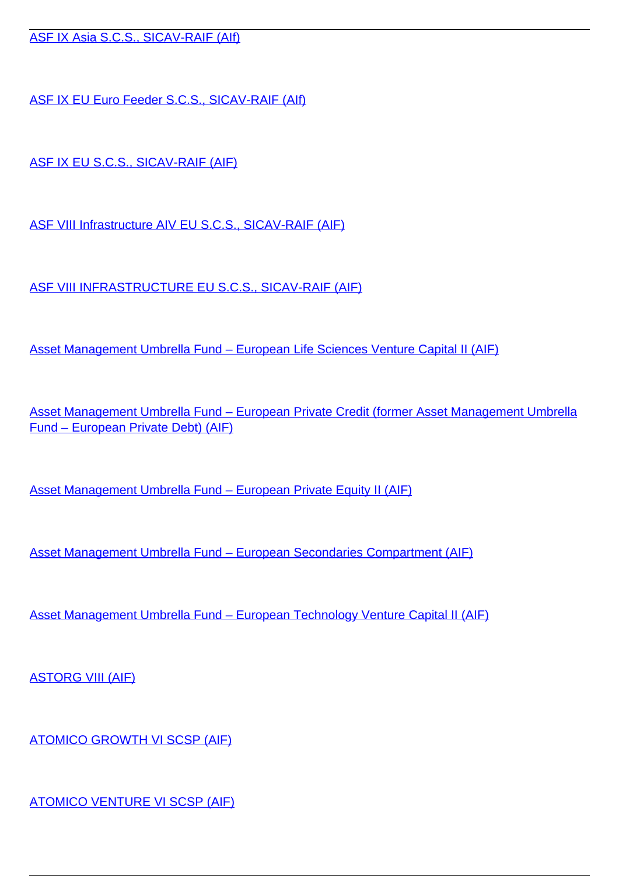[ASF IX EU Euro Feeder S.C.S., SICAV-RAIF \(AIf\)](/en/investment-market/investment-and-pension-funds-0/investment-market/registered-foreign-investment-funds/asf-ix-eu-euro-feeder-scs-sicav-raif-aif)

[ASF IX EU S.C.S., SICAV-RAIF \(AIF\)](/en/investment-market/investment-and-pension-funds-0/investment-market/registered-foreign-investment-funds/asf-ix-eu-scs-sicav-raif-aif)

[ASF VIII Infrastructure AIV EU S.C.S., SICAV-RAIF \(AIF\)](/en/investment-market/investment-and-pension-funds-0/investment-market/registered-foreign-investment-funds/asf-viii-infrastructure-aiv-eu-scs-sicav-raif-aif)

[ASF VIII INFRASTRUCTURE EU S.C.S., SICAV-RAIF \(AIF\)](/en/investment-market/investment-and-pension-funds-0/investment-market/registered-foreign-investment-funds/asf-viii-infrastructure-eu-scs-sicav-raif-aif)

[Asset Management Umbrella Fund – European Life Sciences Venture Capital II \(AIF\)](/en/investment-market/investment-and-pension-funds-0/investment-market/registered-foreign-investment-funds/asset-management-umbrella-fund-european-life-sciences-venture-capital-ii-aif)

[Asset Management Umbrella Fund – European Private Credit \(former Asset Management Umbrella](/en/investment-market/investment-and-pension-funds-0/investment-market/registered-foreign-investment-funds/asset-management-umbrella-fund-european-private-credit-former-asset-management-umbrella-fund) [Fund – European Private Debt\) \(AIF\)](/en/investment-market/investment-and-pension-funds-0/investment-market/registered-foreign-investment-funds/asset-management-umbrella-fund-european-private-credit-former-asset-management-umbrella-fund)

[Asset Management Umbrella Fund – European Private Equity II \(AIF\)](/en/investment-market/investment-and-pension-funds-0/investment-market/registered-foreign-investment-funds/asset-management-umbrella-fund-european-private-equity-ii-aif)

[Asset Management Umbrella Fund – European Secondaries Compartment \(AIF\)](/en/investment-market/investment-and-pension-funds-0/investment-market/registered-foreign-investment-funds/asset-management-umbrella-fund-european-secondaries-compartment-aif)

[Asset Management Umbrella Fund – European Technology Venture Capital II \(AIF\)](/en/investment-market/investment-and-pension-funds-0/investment-market/registered-foreign-investment-funds/asset-management-umbrella-fund-european-technology-venture-capital-ii-aif)

[ASTORG VIII \(AIF\)](/en/investment-market/investment-and-pension-funds-0/investment-market/registered-foreign-investment-funds/astorg-viii-aif)

[ATOMICO GROWTH VI SCSP \(AIF\)](/en/investment-market/investment-and-pension-funds-0/investment-market/registered-foreign-investment-funds/atomico-growth-vi-scsp-aif)

[ATOMICO VENTURE VI SCSP \(AIF\)](/en/investment-market/investment-and-pension-funds-0/investment-market/registered-foreign-investment-funds/atomico-venture-vi-scsp-aif)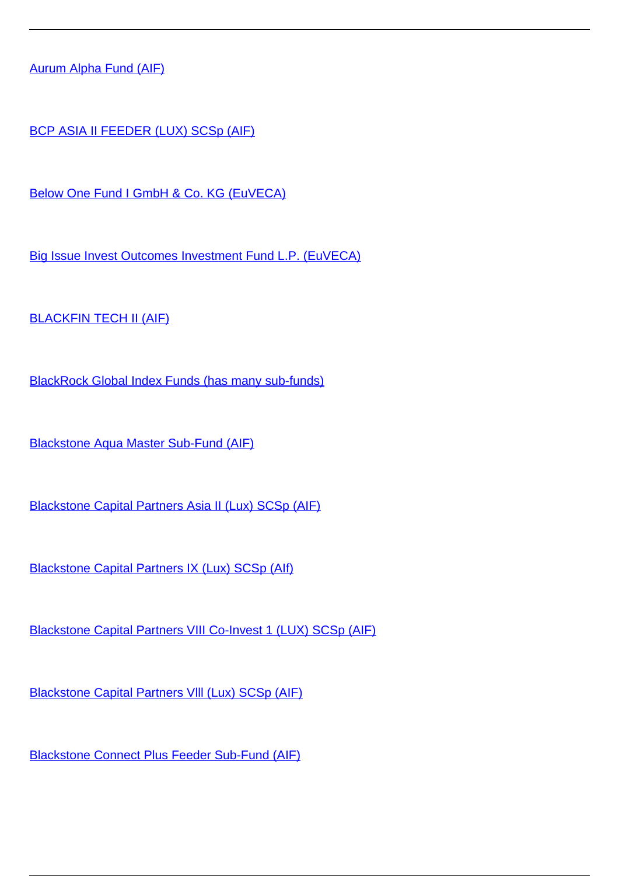[Aurum Alpha Fund \(AIF\)](/en/investment-market/investment-and-pension-funds-0/investment-market/registered-foreign-investment-funds/aurum-alpha-fund-aif)

[BCP ASIA II FEEDER \(LUX\) SCSp \(AIF\)](/en/investment-market/investment-and-pension-funds-0/investment-market/registered-foreign-investment-funds/bcp-asia-ii-feeder-lux-scsp-aif)

[Below One Fund I GmbH & Co. KG \(EuVECA\)](/en/investment-market/investment-and-pension-funds-0/investment-market/registered-foreign-investment-funds/below-one-fund-i-gmbh-co-kg-euveca)

[Big Issue Invest Outcomes Investment Fund L.P. \(EuVECA\)](/en/investment-market/registered-foreign-investment-funds/big-issue-invest-outcomes-investment-fund-lp-euveca)

[BLACKFIN TECH II \(AIF\)](/en/investment-market/investment-and-pension-funds-0/investment-market/registered-foreign-investment-funds/blackfin-tech-ii-aif)

[BlackRock Global Index Funds \(has many sub-funds\)](/en/investment-market/investment-and-pension-funds-0/investment-market/registered-foreign-investment-funds/blackrock-global-index-funds-has-many-sub-funds)

[Blackstone Aqua Master Sub-Fund \(AIF\)](/en/investment-market/investment-and-pension-funds-0/investment-market/registered-foreign-investment-funds/blackstone-aqua-master-sub-fund-aif)

[Blackstone Capital Partners Asia II \(Lux\) SCSp \(AIF\)](/en/investment-market/investment-and-pension-funds-0/investment-market/registered-foreign-investment-funds/blackstone-capital-partners-asia-ii-lux-scsp-aif)

[Blackstone Capital Partners IX \(Lux\) SCSp \(AIf\)](/en/investment-market/investment-and-pension-funds-0/investment-market/registered-foreign-investment-funds/blackstone-capital-partners-ix-lux-scsp-aif)

[Blackstone Capital Partners VIII Co-Invest 1 \(LUX\) SCSp \(AIF\)](/en/investment-market/investment-and-pension-funds-0/investment-market/registered-foreign-investment-funds/blackstone-capital-partners-viii-co-invest-1-lux-scsp-aif)

[Blackstone Capital Partners Vlll \(Lux\) SCSp \(AIF\)](/en/investment-market/investment-and-pension-funds-0/investment-market/registered-foreign-investment-funds/blackstone-capital-partners-vlll-lux-scsp-aif)

[Blackstone Connect Plus Feeder Sub-Fund \(AIF\)](/en/investment-market/investment-and-pension-funds-0/investment-market/registered-foreign-investment-funds/blackstone-connect-plus-feeder-sub-fund-aif)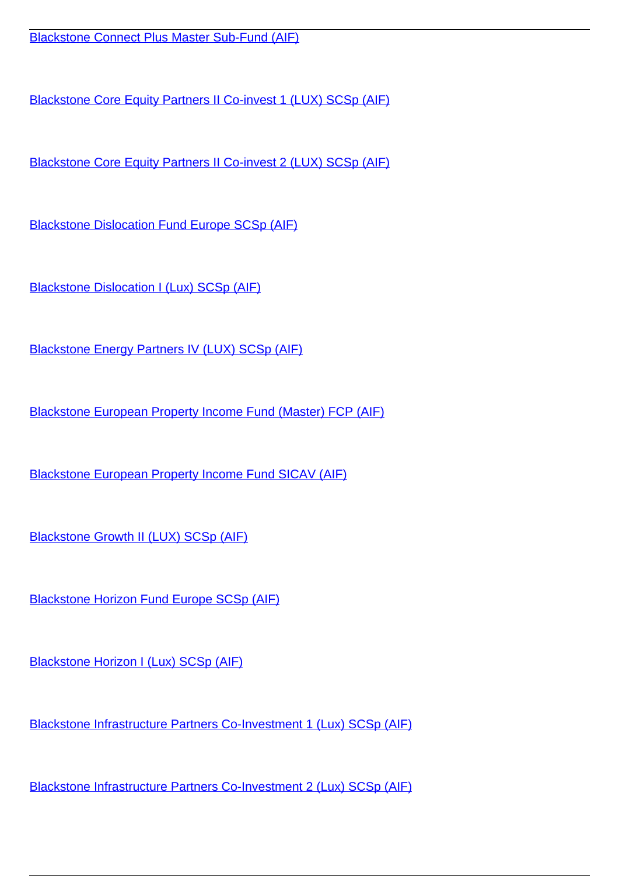[Blackstone Core Equity Partners II Co-invest 1 \(LUX\) SCSp \(AIF\)](/en/investment-market/investment-and-pension-funds-0/investment-market/registered-foreign-investment-funds/blackstone-core-equity-partners-ii-co-invest-1-lux-scsp-aif)

[Blackstone Core Equity Partners II Co-invest 2 \(LUX\) SCSp \(AIF\)](/en/investment-market/investment-and-pension-funds-0/investment-market/registered-foreign-investment-funds/blackstone-core-equity-partners-ii-co-invest-2-lux-scsp-aif)

[Blackstone Dislocation Fund Europe SCSp \(AIF\)](/en/investment-market/investment-and-pension-funds-0/investment-market/registered-foreign-investment-funds/blackstone-dislocation-fund-europe-scsp-aif)

[Blackstone Dislocation I \(Lux\) SCSp \(AIF\)](/en/investment-market/investment-and-pension-funds-0/investment-market/registered-foreign-investment-funds/blackstone-dislocation-i-lux-scsp-aif)

[Blackstone Energy Partners IV \(LUX\) SCSp \(AIF\)](/en/investment-market/investment-and-pension-funds-0/investment-market/registered-foreign-investment-funds/blackstone-energy-partners-iv-lux-scsp-aif)

[Blackstone European Property Income Fund \(Master\) FCP \(AIF\)](/en/investment-market/investment-and-pension-funds-0/investment-market/registered-foreign-investment-funds/blackstone-european-property-income-fund-master-fcp-aif)

[Blackstone European Property Income Fund SICAV \(AIF\)](/en/investment-market/investment-and-pension-funds-0/investment-market/registered-foreign-investment-funds/blackstone-european-property-income-fund-sicav-aif)

**[Blackstone Growth II \(LUX\) SCSp \(AIF\)](/en/investment-market/investment-and-pension-funds-0/investment-market/registered-foreign-investment-funds/blackstone-growth-ii-lux-scsp-aif)** 

[Blackstone Horizon Fund Europe SCSp \(AIF\)](/en/investment-market/investment-and-pension-funds-0/investment-market/registered-foreign-investment-funds/blackstone-horizon-fund-europe-scsp-aif)

**[Blackstone Horizon I \(Lux\) SCSp \(AIF\)](/en/investment-market/investment-and-pension-funds-0/investment-market/registered-foreign-investment-funds/blackstone-horizon-i-lux-scsp-aif)** 

[Blackstone Infrastructure Partners Co-Investment 1 \(Lux\) SCSp \(AIF\)](/en/investment-market/investment-and-pension-funds-0/investment-market/registered-foreign-investment-funds/blackstone-infrastructure-partners-co-investment-1-lux-scsp-aif)

[Blackstone Infrastructure Partners Co-Investment 2 \(Lux\) SCSp \(AIF\)](/en/investment-market/investment-and-pension-funds-0/investment-market/registered-foreign-investment-funds/blackstone-infrastructure-partners-co-investment-2-lux-scsp-aif)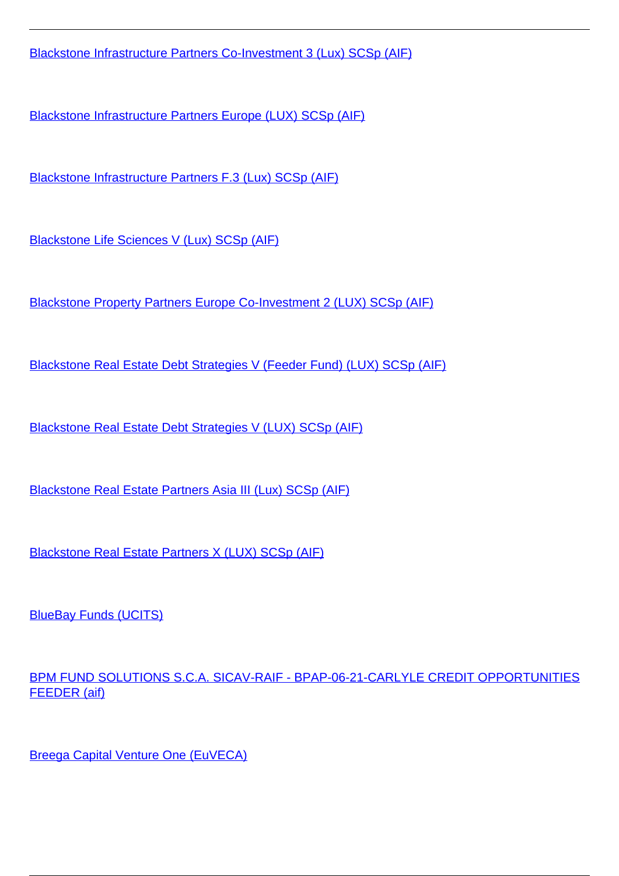[Blackstone Infrastructure Partners Co-Investment 3 \(Lux\) SCSp \(AIF\)](/en/investment-market/investment-and-pension-funds-0/investment-market/registered-foreign-investment-funds/blackstone-infrastructure-partners-co-investment-3-lux-scsp-aif)

[Blackstone Infrastructure Partners Europe \(LUX\) SCSp \(AIF\)](/en/investment-market/investment-and-pension-funds-0/investment-market/registered-foreign-investment-funds/blackstone-infrastructure-partners-europe-lux-scsp-aif)

[Blackstone Infrastructure Partners F.3 \(Lux\) SCSp \(AIF\)](/en/investment-market/investment-and-pension-funds-0/investment-market/registered-foreign-investment-funds/blackstone-infrastructure-partners-f3-lux-scsp-aif)

[Blackstone Life Sciences V \(Lux\) SCSp \(AIF\)](/en/investment-market/investment-and-pension-funds-0/investment-market/registered-foreign-investment-funds/blackstone-life-sciences-v-lux-scsp-aif)

[Blackstone Property Partners Europe Co-Investment 2 \(LUX\) SCSp \(AIF\)](/en/investment-market/investment-and-pension-funds-0/investment-market/registered-foreign-investment-funds/blackstone-property-partners-europe-co-investment-2-lux-scsp-aif)

[Blackstone Real Estate Debt Strategies V \(Feeder Fund\) \(LUX\) SCSp \(AIF\)](/en/investment-market/investment-and-pension-funds-0/investment-market/registered-foreign-investment-funds/blackstone-real-estate-debt-strategies-v-feeder-fund-lux-scsp-aif)

[Blackstone Real Estate Debt Strategies V \(LUX\) SCSp \(AIF\)](/en/investment-market/investment-and-pension-funds-0/investment-market/registered-foreign-investment-funds/blackstone-real-estate-debt-strategies-v-lux-scsp-aif)

[Blackstone Real Estate Partners Asia III \(Lux\) SCSp \(AIF\)](/en/investment-market/investment-and-pension-funds-0/investment-market/registered-foreign-investment-funds/blackstone-real-estate-partners-asia-iii-lux-scsp-aif)

[Blackstone Real Estate Partners X \(LUX\) SCSp \(AIF\)](/en/investment-market/investment-and-pension-funds-0/investment-market/registered-foreign-investment-funds/blackstone-real-estate-partners-x-lux-scsp-aif)

[BlueBay Funds \(UCITS\)](/en/investment-market/investment-and-pension-funds-0/investment-market/registered-foreign-investment-funds/bluebay-funds-ucits)

[BPM FUND SOLUTIONS S.C.A. SICAV-RAIF - BPAP-06-21-CARLYLE CREDIT OPPORTUNITIES](/en/investment-market/investment-and-pension-funds-0/investment-market/registered-foreign-investment-funds/bpm-fund-solutions-sca-sicav-raif-bpap-06-21-carlyle-credit-opportunities-feeder-aif) [FEEDER \(aif\)](/en/investment-market/investment-and-pension-funds-0/investment-market/registered-foreign-investment-funds/bpm-fund-solutions-sca-sicav-raif-bpap-06-21-carlyle-credit-opportunities-feeder-aif)

[Breega Capital Venture One \(EuVECA\)](/en/investment-market/registered-foreign-investment-funds/breega-capital-venture-one-euveca)